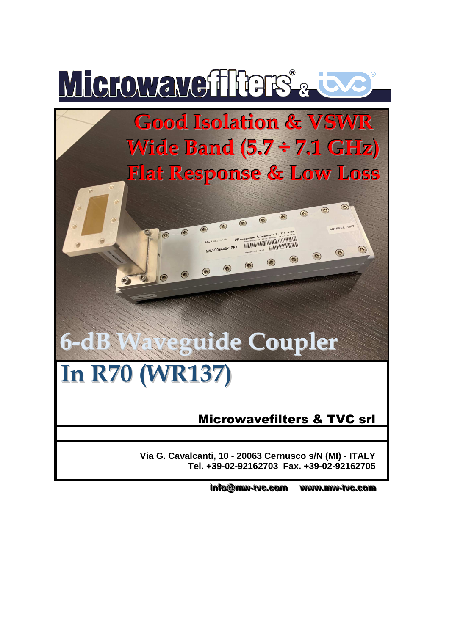

### **Good Isolation & VSWR Wide Band (5.7 ÷ 7.1 GHz) Flat Response & Low Loss**

# **6-dB Waveguide Coupler**

## **In R70 (WR137)**

#### Microwavefilters & TVC srl

 $\odot$ 

ANTENNA PORT

 $\odot$ 

 $\odot$ 

 $\odot$ 

 $\odot$ 

 $\odot$ 

 $\odot$ 

 $\odot$ 

 $\odot$ 

 $\circledR$ 

om & Waveguide Coupler 5.7 - 7.1 0Hz

MW-CO6400-FFFT WEIGHT WITH MILLIAN MARKET MARKET WEIGHT

 $\circledast$ 

 $\circ$ 

 $\circledast$ 

 $\circledast$ 

 $\circledcirc$ 

 $\circledast$ 

 $\odot$ 

 $\bigcirc$ 

 $\overline{\bullet}$ 

 $\odot$ 

**Via G. Cavalcanti, 10 - 20063 Cernusco s/N (MI) - ITALY Tel. +39-02-92162703 Fax. +39-02-92162705** 

> info@mw-tvc.com www. **..mmww--ttvvcc. ..ccoomm**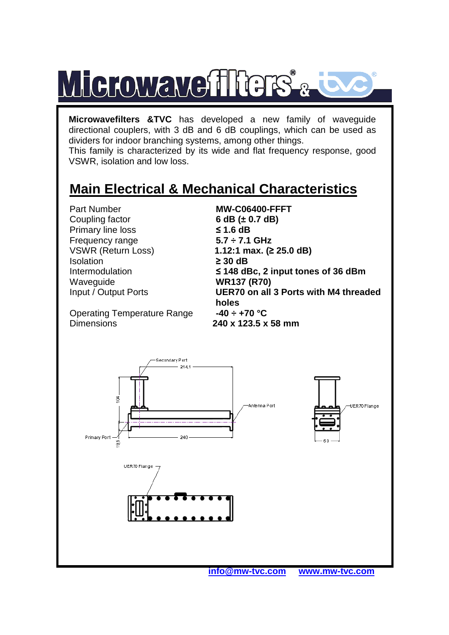

**Microwavefilters &TVC** has developed a new family of waveguide directional couplers, with 3 dB and 6 dB couplings, which can be used as dividers for indoor branching systems, among other things.

This family is characterized by its wide and flat frequency response, good VSWR, isolation and low loss.

### **Main Electrical & Mechanical Characteristics**

Part Number **MW-C06400-FFFT**  Coupling factor **6 dB (± 0.7 dB) Primary line loss** Frequency range **5.7 ÷ 7.1 GHz**  Isolation **≥ 30 dB**  Waveguide **WR137 (R70)** 

 $\leq$  1.6 dB VSWR (Return Loss) **1.12:1 max. (≥ 25.0 dB)**  Intermodulation **≤ 148 dBc, 2 input tones of 36 dBm**  Input / Output Ports **UER70 on all 3 Ports with M4 threaded**  holes<br>-40  $\div$  +70 °C

**Operating Temperature Range** Dimensions **240 x 123.5 x 58 mm** 



 **info@mw-tvc.com www.mw-tvc.com**